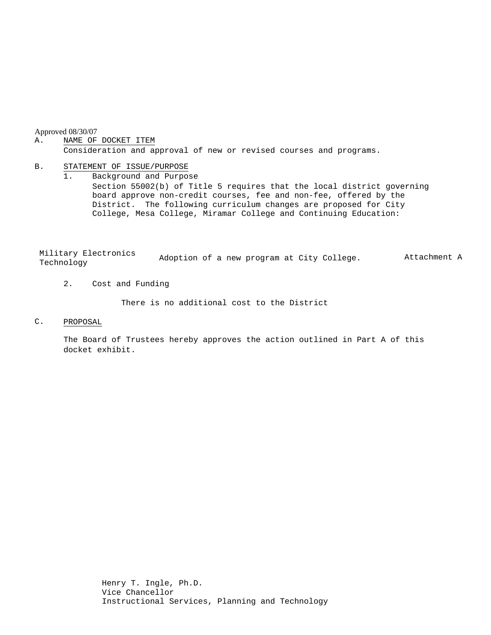Approved 08/30/07

#### A. NAME OF DOCKET ITEM

Consideration and approval of new or revised courses and programs.

### B. STATEMENT OF ISSUE/PURPOSE

1. Background and Purpose Section 55002(b) of Title 5 requires that the local district governing board approve non-credit courses, fee and non-fee, offered by the District. The following curriculum changes are proposed for City College, Mesa College, Miramar College and Continuing Education:

Military Electronics MITILARY EIECLRONICS Adoption of a new program at City College. Attachment A Technology

2. Cost and Funding

There is no additional cost to the District

C. PROPOSAL

The Board of Trustees hereby approves the action outlined in Part A of this docket exhibit.